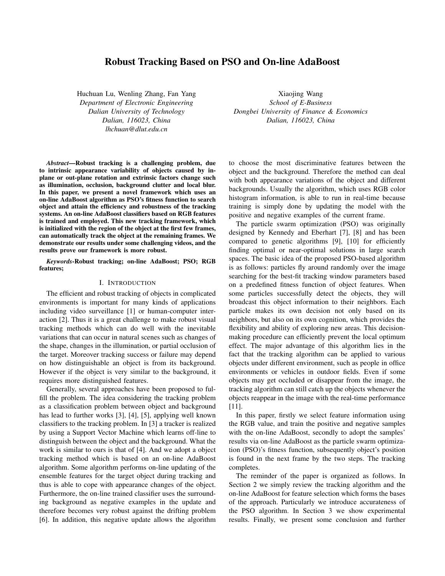# Robust Tracking Based on PSO and On-line AdaBoost

Huchuan Lu, Wenling Zhang, Fan Yang *Department of Electronic Engineering Dalian University of Technology Dalian, 116023, China lhchuan@dlut.edu.cn*

Xiaojing Wang *School of E-Business Dongbei University of Finance & Economics Dalian, 116023, China*

*Abstract*—Robust tracking is a challenging problem, due to intrinsic appearance variability of objects caused by inplane or out-plane rotation and extrinsic factors change such as illumination, occlusion, background clutter and local blur. In this paper, we present a novel framework which uses an on-line AdaBoost algorithm as PSO's fitness function to search object and attain the efficiency and robustness of the tracking systems. An on-line AdaBoost classifiers based on RGB features is trained and employed. This new tracking framework, which is initialized with the region of the object at the first few frames, can automatically track the object at the remaining frames. We demonstrate our results under some challenging videos, and the results prove our framework is more robust.

*Keywords*-Robust tracking; on-line AdaBoost; PSO; RGB features;

## I. INTRODUCTION

The efficient and robust tracking of objects in complicated environments is important for many kinds of applications including video surveillance [1] or human-computer interaction [2]. Thus it is a great challenge to make robust visual tracking methods which can do well with the inevitable variations that can occur in natural scenes such as changes of the shape, changes in the illumination, or partial occlusion of the target. Moreover tracking success or failure may depend on how distinguishable an object is from its background. However if the object is very similar to the background, it requires more distinguished features.

Generally, several approaches have been proposed to fulfill the problem. The idea considering the tracking problem as a classification problem between object and background has lead to further works [3], [4], [5], applying well known classifiers to the tracking problem. In [3] a tracker is realized by using a Support Vector Machine which learns off-line to distinguish between the object and the background. What the work is similar to ours is that of [4]. And we adopt a object tracking method which is based on an on-line AdaBoost algorithm. Some algorithm performs on-line updating of the ensemble features for the target object during tracking and thus is able to cope with appearance changes of the object. Furthermore, the on-line trained classifier uses the surrounding background as negative examples in the update and therefore becomes very robust against the drifting problem [6]. In addition, this negative update allows the algorithm to choose the most discriminative features between the object and the background. Therefore the method can deal with both appearance variations of the object and different backgrounds. Usually the algorithm, which uses RGB color histogram information, is able to run in real-time because training is simply done by updating the model with the positive and negative examples of the current frame.

The particle swarm optimization (PSO) was originally designed by Kennedy and Eberhart [7], [8] and has been compared to genetic algorithms [9], [10] for efficiently finding optimal or near-optimal solutions in large search spaces. The basic idea of the proposed PSO-based algorithm is as follows: particles fly around randomly over the image searching for the best-fit tracking window parameters based on a predefined fitness function of object features. When some particles successfully detect the objects, they will broadcast this object information to their neighbors. Each particle makes its own decision not only based on its neighbors, but also on its own cognition, which provides the flexibility and ability of exploring new areas. This decisionmaking procedure can efficiently prevent the local optimum effect. The major advantage of this algorithm lies in the fact that the tracking algorithm can be applied to various objects under different environment, such as people in office environments or vehicles in outdoor fields. Even if some objects may get occluded or disappear from the image, the tracking algorithm can still catch up the objects whenever the objects reappear in the image with the real-time performance [11].

In this paper, firstly we select feature information using the RGB value, and train the positive and negative samples with the on-line AdaBoost, secondly to adopt the samples' results via on-line AdaBoost as the particle swarm optimization (PSO)'s fitness function, subsequently object's position is found in the next frame by the two steps. The tracking completes.

The reminder of the paper is organized as follows. In Section 2 we simply review the tracking algorithm and the on-line AdaBoost for feature selection which forms the bases of the approach. Particularly we introduce accurateness of the PSO algorithm. In Section 3 we show experimental results. Finally, we present some conclusion and further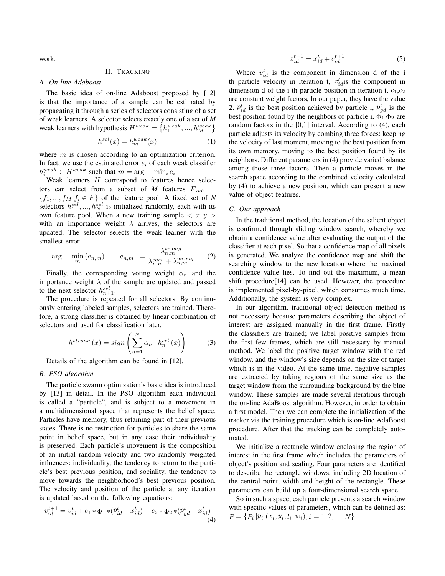work.

# II. TRACKING

*A. On-line Adaboost*

The basic idea of on-line Adaboost proposed by [12] is that the importance of a sample can be estimated by propagating it through a series of selectors consisting of a set of weak learners. A selector selects exactly one of a set of *M* weak learners with hypothesis  $H^{weak} = \{h_1^{weak}, ..., h_M^{weak}\}\$ 

$$
h^{sel}(x) = h_m^{weak}(x) \tag{1}
$$

where  $m$  is chosen according to an optimization criterion. In fact, we use the estimated error  $e_i$  of each weak classifier  $h_i^{weak} \in H^{weak}$  such that  $m = \arg \min_i e_i$ <br>Weak learners H correspond to features

Weak learners  $H$  correspond to features hence selectors can select from a subset of *M* features  $F_{sub}$  =  ${f_1, ..., f_M | f_i \in F}$  of the feature pool. A fixed set of *N* selectors  $h_1^{sel}, ..., h_N^{sel}$  is initialized randomly, each with its own feature pool. When a new training sample  $\lt r, y \gt$ own feature pool. When a new training sample  $\langle x, y \rangle$ with an importance weight  $\lambda$  arrives, the selectors are updated. The selector selects the weak learner with the smallest error

$$
\arg\min_{m}\left(e_{n,m}\right),\qquad e_{n,m} = \frac{\lambda_{n,m}^{wrong}}{\lambda_{n,m}^{corr} + \lambda_{n,m}^{wrong}} \tag{2}
$$

Finally, the corresponding voting weight  $\alpha_n$  and the importance weight  $\lambda$  of the sample are updated and passed to the next selector  $h_{n+1}^{sel}$ .<br>The procedure is repea

The procedure is repeated for all selectors. By continuously entering labeled samples, selectors are trained. Therefore, a strong classifier is obtained by linear combination of selectors and used for classification later.

$$
h^{strong}(x) = sign\left(\sum_{n=1}^{N} \alpha_n \cdot h_n^{sel}(x)\right) \tag{3}
$$

Details of the algorithm can be found in [12].

## *B. PSO algorithm*

The particle swarm optimization's basic idea is introduced by [13] in detail. In the PSO algorithm each individual is called a "particle", and is subject to a movement in a multidimensional space that represents the belief space. Particles have memory, thus retaining part of their previous states. There is no restriction for particles to share the same point in belief space, but in any case their individuality is preserved. Each particle's movement is the composition of an initial random velocity and two randomly weighted influences: individuality, the tendency to return to the particle's best previous position, and sociality, the tendency to move towards the neighborhood's best previous position. The velocity and position of the particle at any iteration is updated based on the following equations:

$$
v_{id}^{t+1} = v_{id}^t + c_1 * \Phi_1 * (p_{id}^t - x_{id}^t) + c_2 * \Phi_2 * (p_{gd}^t - x_{id}^t)
$$
\n(4)

$$
x_{id}^{t+1} = x_{id}^t + v_{id}^{t+1}
$$
 (5)

Where  $v_{id}^t$  is the component in dimension d of the intervalse velocity in iteration  $t, r^t$  is the component in th particle velocity in iteration t,  $x_{id}^t$  is the component in dimension d of the i th particle position in iteration t,  $c_t$ ,  $c_t$ dimension d of the i th particle position in iteration t,  $c_1,c_2$ are constant weight factors, In our paper, they have the value 2.  $p_{id}^t$  is the best position achieved by particle i,  $p_{gd}^t$  is the best position found by the poighbors of particle i,  $\mathcal{F}_d$ ,  $\mathcal{F}_s$  are best position found by the neighbors of particle i,  $\Phi_1 \Phi_2$  are random factors in the [0,1] interval. According to (4), each particle adjusts its velocity by combing three forces: keeping the velocity of last moment, moving to the best position from its own memory, moving to the best position found by its neighbors. Different parameters in (4) provide varied balance among those three factors. Then a particle moves in the search space according to the combined velocity calculated by (4) to achieve a new position, which can present a new value of object features.

#### *C. Our approach*

In the traditional method, the location of the salient object is confirmed through sliding window search, whereby we obtain a confidence value after evaluating the output of the classifier at each pixel. So that a confidence map of all pixels is generated. We analyze the confidence map and shift the searching window to the new location where the maximal confidence value lies. To find out the maximum, a mean shift procedure[14] can be used. However, the procedure is implemented pixel-by-pixel, which consumes much time. Additionally, the system is very complex.

In our algorithm, traditional object detection method is not necessary because parameters describing the object of interest are assigned manually in the first frame. Firstly the classifiers are trained; we label positive samples from the first few frames, which are still necessary by manual method. We label the positive target window with the red window, and the window's size depends on the size of target which is in the video. At the same time, negative samples are extracted by taking regions of the same size as the target window from the surrounding background by the blue window. These samples are made several iterations through the on-line AdaBoost algorithm. However, in order to obtain a first model. Then we can complete the initialization of the tracker via the training procedure which is on-line AdaBoost procedure. After that the tracking can be completely automated.

We initialize a rectangle window enclosing the region of interest in the first frame which includes the parameters of object's position and scaling. Four parameters are identified to describe the rectangle windows, including 2D location of the central point, width and height of the rectangle. These parameters can build up a four-dimensional search space.

So in such a space, each particle presents a search window with specific values of parameters, which can be defined as:  $P = \{P_i | P_i (x_i, y_i, l_i, w_i), i = 1, 2, \ldots N\}$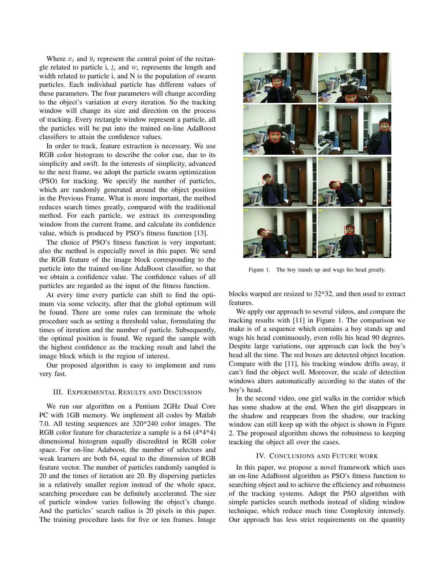Where  $x_i$  and  $y_i$  represent the central point of the rectangle related to particle i,  $l_i$  and  $w_i$  represents the length and width related to particle i, and N is the population of swarm particles. Each individual particle has different values of these parameters. The four parameters will change according to the object's variation at every iteration. So the tracking window will change its size and direction on the process of tracking. Every rectangle window represent a particle, all the particles will be put into the trained on-line AdaBoost classifiers to attain the confidence values.

In order to track, feature extraction is necessary. We use RGB color histogram to describe the color cue, due to its simplicity and swift. In the interests of simplicity, advanced to the next frame, we adopt the particle swarm optimization (PSO) for tracking. We specify the number of particles, which are randomly generated around the object position in the Previous Frame. What is more important, the method reduces search times greatly, compared with the traditional method. For each particle, we extract its corresponding window from the current frame, and calculate its confidence value, which is produced by PSO's fitness function [13].

The choice of PSO's fitness function is very important; also the method is especially novel in this paper. We send the RGB feature of the image block corresponding to the particle into the trained on-line AdaBoost classifier, so that we obtain a confidence value. The confidence values of all particles are regarded as the input of the fitness function.

At every time every particle can shift to find the optimum via some velocity, after that the global optimum will be found. There are some rules can terminate the whole procedure such as setting a threshold value, formulating the times of iteration and the number of particle. Subsequently, the optimal position is found. We regard the sample with the highest confidence as the tracking result and label the image block which is the region of interest.

Our proposed algorithm is easy to implement and runs very fast.

# III. EXPERIMENTAL RESULTS AND DISCUSSION

We run our algorithm on a Pentium 2GHz Dual Core PC with 1GB memory. We implement all codes by Matlab 7.0. All testing sequences are 320\*240 color images. The RGB color feature for characterize a sample is a 64 (4\*4\*4) dimensional histogram equally discredited in RGB color space. For on-line Adaboost, the number of selectors and weak learners are both 64, equal to the dimension of RGB feature vector. The number of particles randomly sampled is 20 and the times of iteration are 20. By dispersing particles in a relatively smaller region instead of the whole space, searching procedure can be definitely accelerated. The size of particle window varies following the object's change. And the particles' search radius is 20 pixels in this paper. The training procedure lasts for five or ten frames. Image



Figure 1. The boy stands up and wags his head greatly.

blocks warped are resized to 32\*32, and then used to extract features.

We apply our approach to several videos, and compare the tracking results with [11] in Figure 1. The comparison we make is of a sequence which contains a boy stands up and wags his head continuously, even rolls his head 90 degrees. Despite large variations, our approach can lock the boy's head all the time. The red boxes are detected object location. Compare with the [11], his tracking window drifts away, it can't find the object well. Moreover, the scale of detection windows alters automatically according to the states of the boy's head.

In the second video, one girl walks in the corridor which has some shadow at the end. When the girl disappears in the shadow and reappears from the shadow, our tracking window can still keep up with the object is shown in Figure 2. The proposed algorithm shows the robustness to keeping tracking the object all over the cases.

### IV. CONCLUSIONS AND FUTURE WORK

In this paper, we propose a novel framework which uses an on-line AdaBoost algorithm as PSO's fitness function to searching object and to achieve the efficiency and robustness of the tracking systems. Adopt the PSO algorithm with simple particles search methods instead of sliding window technique, which reduce much time Complexity intensely. Our approach has less strict requirements on the quantity